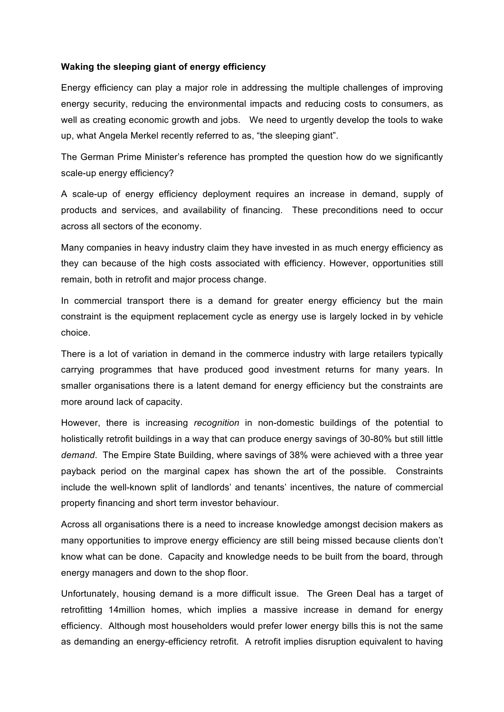## **Waking the sleeping giant of energy efficiency**

Energy efficiency can play a major role in addressing the multiple challenges of improving energy security, reducing the environmental impacts and reducing costs to consumers, as well as creating economic growth and jobs. We need to urgently develop the tools to wake up, what Angela Merkel recently referred to as, "the sleeping giant".

The German Prime Minister's reference has prompted the question how do we significantly scale-up energy efficiency?

A scale-up of energy efficiency deployment requires an increase in demand, supply of products and services, and availability of financing. These preconditions need to occur across all sectors of the economy.

Many companies in heavy industry claim they have invested in as much energy efficiency as they can because of the high costs associated with efficiency. However, opportunities still remain, both in retrofit and major process change.

In commercial transport there is a demand for greater energy efficiency but the main constraint is the equipment replacement cycle as energy use is largely locked in by vehicle choice.

There is a lot of variation in demand in the commerce industry with large retailers typically carrying programmes that have produced good investment returns for many years. In smaller organisations there is a latent demand for energy efficiency but the constraints are more around lack of capacity.

However, there is increasing *recognition* in non-domestic buildings of the potential to holistically retrofit buildings in a way that can produce energy savings of 30-80% but still little *demand*. The Empire State Building, where savings of 38% were achieved with a three year payback period on the marginal capex has shown the art of the possible. Constraints include the well-known split of landlords' and tenants' incentives, the nature of commercial property financing and short term investor behaviour.

Across all organisations there is a need to increase knowledge amongst decision makers as many opportunities to improve energy efficiency are still being missed because clients don't know what can be done. Capacity and knowledge needs to be built from the board, through energy managers and down to the shop floor.

Unfortunately, housing demand is a more difficult issue. The Green Deal has a target of retrofitting 14million homes, which implies a massive increase in demand for energy efficiency. Although most householders would prefer lower energy bills this is not the same as demanding an energy-efficiency retrofit. A retrofit implies disruption equivalent to having